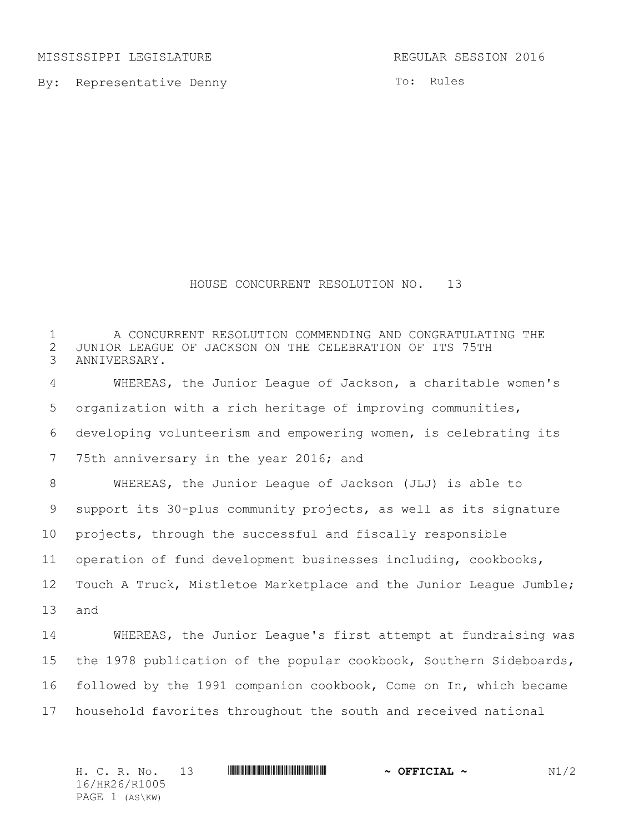MISSISSIPPI LEGISLATURE **REGULAR SESSION 2016** 

By: Representative Denny

To: Rules

## HOUSE CONCURRENT RESOLUTION NO. 13

 A CONCURRENT RESOLUTION COMMENDING AND CONGRATULATING THE 2 JUNIOR LEAGUE OF JACKSON ON THE CELEBRATION OF ITS 75TH ANNIVERSARY. ANNIVERSARY. WHEREAS, the Junior League of Jackson, a charitable women's organization with a rich heritage of improving communities, developing volunteerism and empowering women, is celebrating its 75th anniversary in the year 2016; and WHEREAS, the Junior League of Jackson (JLJ) is able to support its 30-plus community projects, as well as its signature projects, through the successful and fiscally responsible operation of fund development businesses including, cookbooks, Touch A Truck, Mistletoe Marketplace and the Junior League Jumble; and WHEREAS, the Junior League's first attempt at fundraising was the 1978 publication of the popular cookbook, Southern Sideboards, followed by the 1991 companion cookbook, Come on In, which became household favorites throughout the south and received national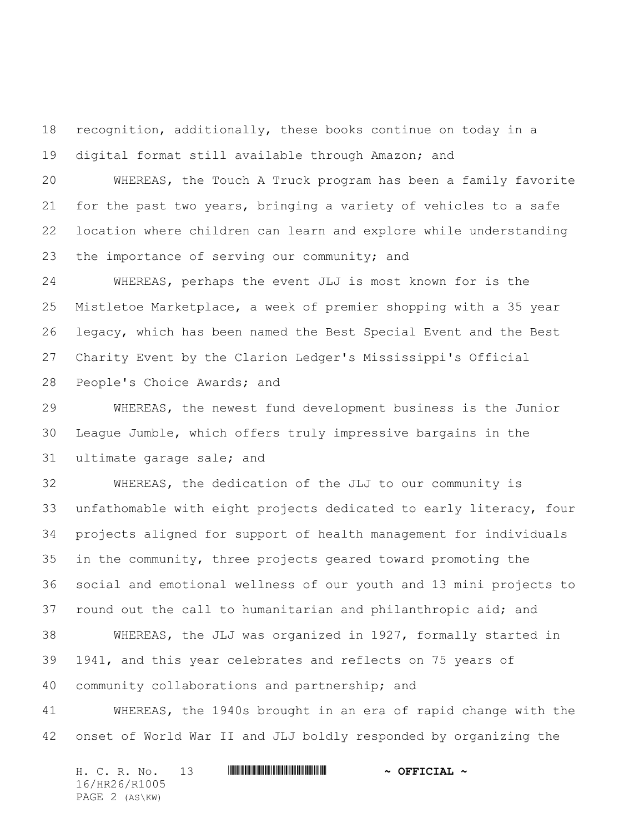recognition, additionally, these books continue on today in a digital format still available through Amazon; and

 WHEREAS, the Touch A Truck program has been a family favorite for the past two years, bringing a variety of vehicles to a safe location where children can learn and explore while understanding the importance of serving our community; and

 WHEREAS, perhaps the event JLJ is most known for is the Mistletoe Marketplace, a week of premier shopping with a 35 year legacy, which has been named the Best Special Event and the Best Charity Event by the Clarion Ledger's Mississippi's Official People's Choice Awards; and

 WHEREAS, the newest fund development business is the Junior League Jumble, which offers truly impressive bargains in the ultimate garage sale; and

 WHEREAS, the dedication of the JLJ to our community is unfathomable with eight projects dedicated to early literacy, four projects aligned for support of health management for individuals in the community, three projects geared toward promoting the social and emotional wellness of our youth and 13 mini projects to round out the call to humanitarian and philanthropic aid; and WHEREAS, the JLJ was organized in 1927, formally started in 1941, and this year celebrates and reflects on 75 years of community collaborations and partnership; and

 WHEREAS, the 1940s brought in an era of rapid change with the onset of World War II and JLJ boldly responded by organizing the

H. C. R. No. 13 \*HR26/R1005\* **~ OFFICIAL ~** 16/HR26/R1005 PAGE 2 (AS\KW)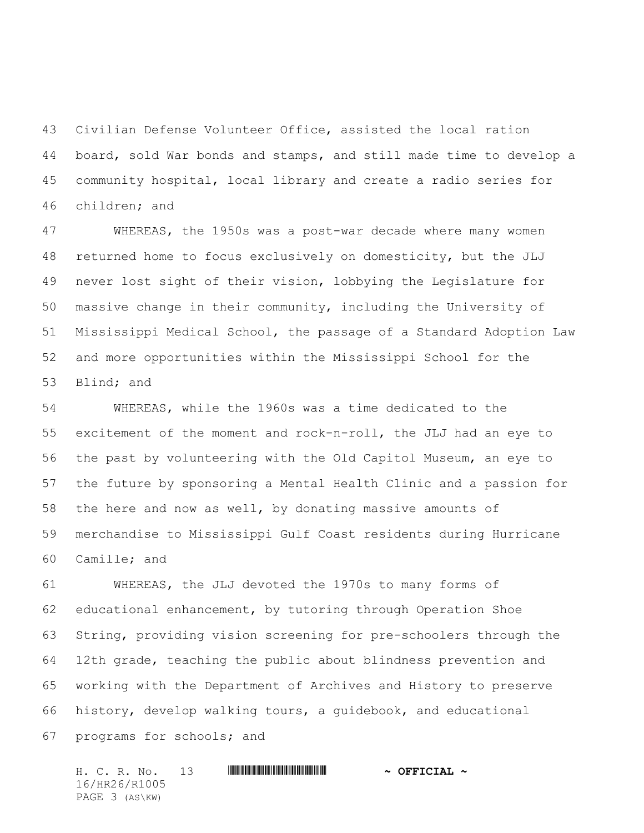Civilian Defense Volunteer Office, assisted the local ration board, sold War bonds and stamps, and still made time to develop a community hospital, local library and create a radio series for children; and

 WHEREAS, the 1950s was a post-war decade where many women returned home to focus exclusively on domesticity, but the JLJ never lost sight of their vision, lobbying the Legislature for massive change in their community, including the University of Mississippi Medical School, the passage of a Standard Adoption Law and more opportunities within the Mississippi School for the Blind; and

 WHEREAS, while the 1960s was a time dedicated to the excitement of the moment and rock-n-roll, the JLJ had an eye to the past by volunteering with the Old Capitol Museum, an eye to the future by sponsoring a Mental Health Clinic and a passion for the here and now as well, by donating massive amounts of merchandise to Mississippi Gulf Coast residents during Hurricane Camille; and

 WHEREAS, the JLJ devoted the 1970s to many forms of educational enhancement, by tutoring through Operation Shoe String, providing vision screening for pre-schoolers through the 12th grade, teaching the public about blindness prevention and working with the Department of Archives and History to preserve history, develop walking tours, a guidebook, and educational programs for schools; and

H. C. R. No. 13 **. AND AND AN ABLE AND A OFFICIAL ~** 16/HR26/R1005 PAGE 3 (AS\KW)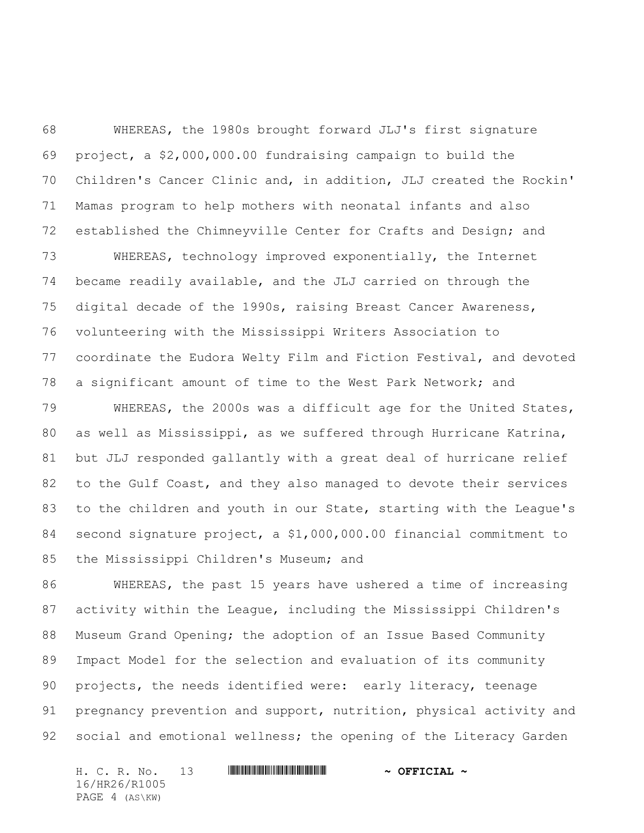WHEREAS, the 1980s brought forward JLJ's first signature project, a \$2,000,000.00 fundraising campaign to build the Children's Cancer Clinic and, in addition, JLJ created the Rockin' Mamas program to help mothers with neonatal infants and also established the Chimneyville Center for Crafts and Design; and

 WHEREAS, technology improved exponentially, the Internet became readily available, and the JLJ carried on through the digital decade of the 1990s, raising Breast Cancer Awareness, volunteering with the Mississippi Writers Association to coordinate the Eudora Welty Film and Fiction Festival, and devoted a significant amount of time to the West Park Network; and

 WHEREAS, the 2000s was a difficult age for the United States, 80 as well as Mississippi, as we suffered through Hurricane Katrina, but JLJ responded gallantly with a great deal of hurricane relief to the Gulf Coast, and they also managed to devote their services to the children and youth in our State, starting with the League's second signature project, a \$1,000,000.00 financial commitment to the Mississippi Children's Museum; and

 WHEREAS, the past 15 years have ushered a time of increasing activity within the League, including the Mississippi Children's Museum Grand Opening; the adoption of an Issue Based Community Impact Model for the selection and evaluation of its community projects, the needs identified were: early literacy, teenage 91 pregnancy prevention and support, nutrition, physical activity and social and emotional wellness; the opening of the Literacy Garden

H. C. R. No. 13 **. AND AND AN ABLE AND A OFFICIAL ~** 16/HR26/R1005 PAGE 4 (AS\KW)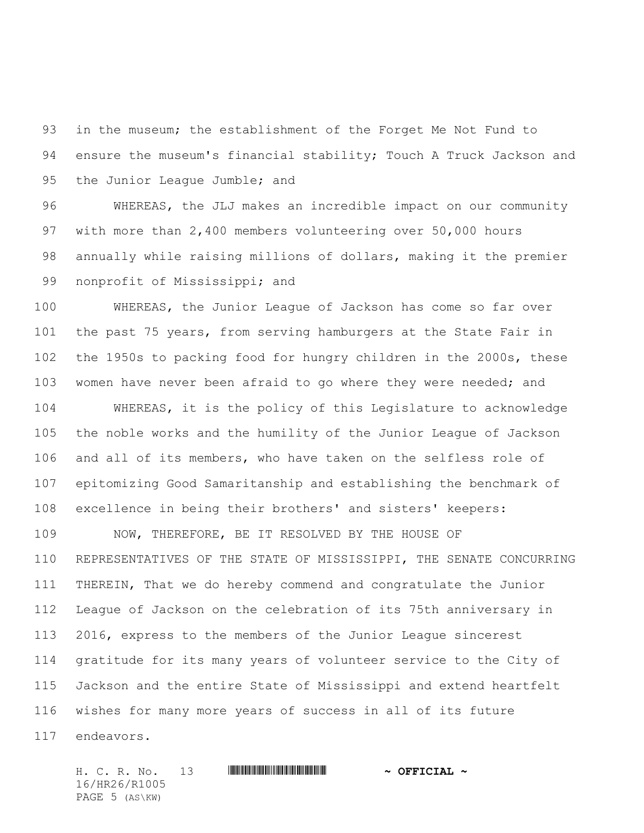in the museum; the establishment of the Forget Me Not Fund to 94 ensure the museum's financial stability; Touch A Truck Jackson and the Junior League Jumble; and

 WHEREAS, the JLJ makes an incredible impact on our community with more than 2,400 members volunteering over 50,000 hours annually while raising millions of dollars, making it the premier nonprofit of Mississippi; and

 WHEREAS, the Junior League of Jackson has come so far over the past 75 years, from serving hamburgers at the State Fair in the 1950s to packing food for hungry children in the 2000s, these women have never been afraid to go where they were needed; and

 WHEREAS, it is the policy of this Legislature to acknowledge the noble works and the humility of the Junior League of Jackson and all of its members, who have taken on the selfless role of epitomizing Good Samaritanship and establishing the benchmark of excellence in being their brothers' and sisters' keepers:

 NOW, THEREFORE, BE IT RESOLVED BY THE HOUSE OF REPRESENTATIVES OF THE STATE OF MISSISSIPPI, THE SENATE CONCURRING THEREIN, That we do hereby commend and congratulate the Junior League of Jackson on the celebration of its 75th anniversary in 2016, express to the members of the Junior League sincerest gratitude for its many years of volunteer service to the City of Jackson and the entire State of Mississippi and extend heartfelt wishes for many more years of success in all of its future endeavors.

H. C. R. No. 13 \*HR26/R1005\* **~ OFFICIAL ~** 16/HR26/R1005 PAGE 5 (AS\KW)